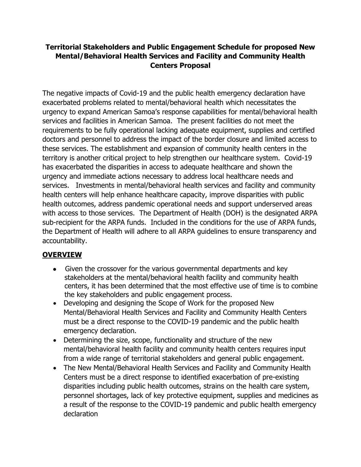#### **Territorial Stakeholders and Public Engagement Schedule for proposed New Mental/Behavioral Health Services and Facility and Community Health Centers Proposal**

The negative impacts of Covid-19 and the public health emergency declaration have exacerbated problems related to mental/behavioral health which necessitates the urgency to expand American Samoa's response capabilities for mental/behavioral health services and facilities in American Samoa. The present facilities do not meet the requirements to be fully operational lacking adequate equipment, supplies and certified doctors and personnel to address the impact of the border closure and limited access to these services. The establishment and expansion of community health centers in the territory is another critical project to help strengthen our healthcare system. Covid-19 has exacerbated the disparities in access to adequate healthcare and shown the urgency and immediate actions necessary to address local healthcare needs and services. Investments in mental/behavioral health services and facility and community health centers will help enhance healthcare capacity, improve disparities with public health outcomes, address pandemic operational needs and support underserved areas with access to those services. The Department of Health (DOH) is the designated ARPA sub-recipient for the ARPA funds. Included in the conditions for the use of ARPA funds, the Department of Health will adhere to all ARPA guidelines to ensure transparency and accountability.

### **OVERVIEW**

- Given the crossover for the various governmental departments and key stakeholders at the mental/behavioral health facility and community health centers, it has been determined that the most effective use of time is to combine the key stakeholders and public engagement process.
- Developing and designing the Scope of Work for the proposed New Mental/Behavioral Health Services and Facility and Community Health Centers must be a direct response to the COVID-19 pandemic and the public health emergency declaration.
- Determining the size, scope, functionality and structure of the new mental/behavioral health facility and community health centers requires input from a wide range of territorial stakeholders and general public engagement.
- The New Mental/Behavioral Health Services and Facility and Community Health Centers must be a direct response to identified exacerbation of pre-existing disparities including public health outcomes, strains on the health care system, personnel shortages, lack of key protective equipment, supplies and medicines as a result of the response to the COVID-19 pandemic and public health emergency declaration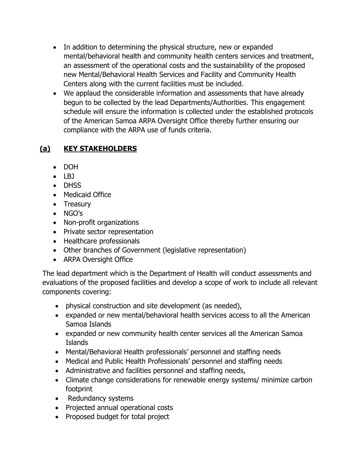- In addition to determining the physical structure, new or expanded mental/behavioral health and community health centers services and treatment, an assessment of the operational costs and the sustainability of the proposed new Mental/Behavioral Health Services and Facility and Community Health Centers along with the current facilities must be included.
- We applaud the considerable information and assessments that have already begun to be collected by the lead Departments/Authorities. This engagement schedule will ensure the information is collected under the established protocols of the American Samoa ARPA Oversight Office thereby further ensuring our compliance with the ARPA use of funds criteria.

# **(a) KEY STAKEHOLDERS**

- DOH
- $\bullet$  LBJ
- DHSS
- Medicaid Office
- Treasury
- NGO's
- Non-profit organizations
- Private sector representation
- Healthcare professionals
- Other branches of Government (legislative representation)
- ARPA Oversight Office

The lead department which is the Department of Health will conduct assessments and evaluations of the proposed facilities and develop a scope of work to include all relevant components covering:

- physical construction and site development (as needed),
- expanded or new mental/behavioral health services access to all the American Samoa Islands
- expanded or new community health center services all the American Samoa Islands
- Mental/Behavioral Health professionals' personnel and staffing needs
- Medical and Public Health Professionals' personnel and staffing needs
- Administrative and facilities personnel and staffing needs,
- Climate change considerations for renewable energy systems/ minimize carbon footprint
- Redundancy systems
- Projected annual operational costs
- Proposed budget for total project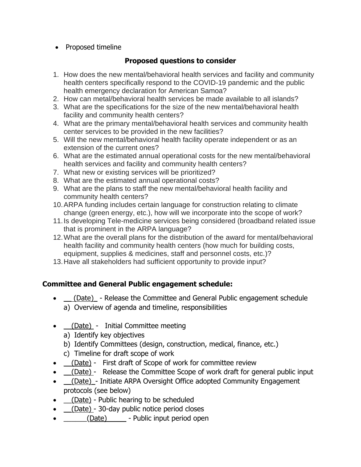• Proposed timeline

#### **Proposed questions to consider**

- 1. How does the new mental/behavioral health services and facility and community health centers specifically respond to the COVID-19 pandemic and the public health emergency declaration for American Samoa?
- 2. How can metal/behavioral health services be made available to all islands?
- 3. What are the specifications for the size of the new mental/behavioral health facility and community health centers?
- 4. What are the primary mental/behavioral health services and community health center services to be provided in the new facilities?
- 5. Will the new mental/behavioral health facility operate independent or as an extension of the current ones?
- 6. What are the estimated annual operational costs for the new mental/behavioral health services and facility and community health centers?
- 7. What new or existing services will be prioritized?
- 8. What are the estimated annual operational costs?
- 9. What are the plans to staff the new mental/behavioral health facility and community health centers?
- 10.ARPA funding includes certain language for construction relating to climate change (green energy, etc.), how will we incorporate into the scope of work?
- 11.Is developing Tele-medicine services being considered (broadband related issue that is prominent in the ARPA language?
- 12.What are the overall plans for the distribution of the award for mental/behavioral health facility and community health centers (how much for building costs, equipment, supplies & medicines, staff and personnel costs, etc.)?
- 13.Have all stakeholders had sufficient opportunity to provide input?

#### **Committee and General Public engagement schedule:**

- <u>(Date)</u> Release the Committee and General Public engagement schedule a) Overview of agenda and timeline, responsibilities
- \_\_(Date) Initial Committee meeting
	- a) Identify key objectives
	- b) Identify Committees (design, construction, medical, finance, etc.)
	- c) Timeline for draft scope of work
- <u>(Date)</u> First draft of Scope of work for committee review
- $\underline{\hspace{1cm}}$  (Date) Release the Committee Scope of work draft for general public input
- $\_\_ (Date)$  Initiate ARPA Oversight Office adopted Community Engagement protocols (see below)
- $\Box$ (Date) Public hearing to be scheduled
- <u>(Date)</u> 30-day public notice period closes
- (Date) Public input period open